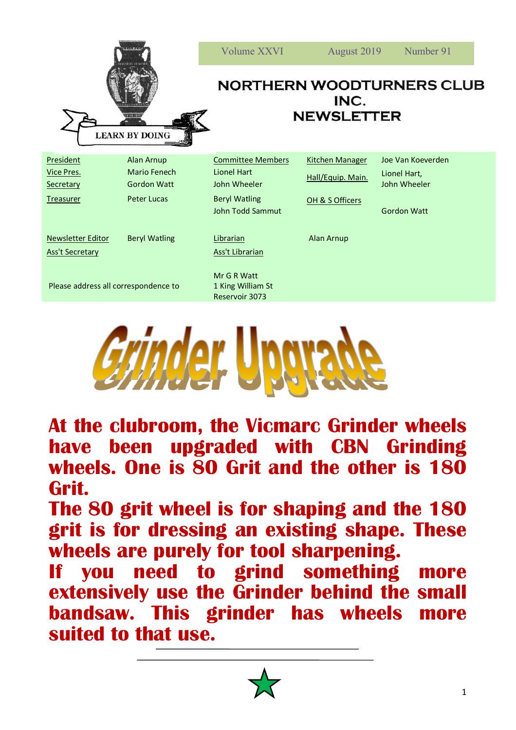| 11111111<br><b>LEARN BY DOING</b>                        |                                                                        | Volume XXVI<br>Number 91<br>August 2019<br><b>NORTHERN WOODTURNERS CLUB</b><br>INC.<br><b>NEWSLETTER</b>          |                                                                |                                                                         |
|----------------------------------------------------------|------------------------------------------------------------------------|-------------------------------------------------------------------------------------------------------------------|----------------------------------------------------------------|-------------------------------------------------------------------------|
| <b>President</b><br>Vice Pres.<br>Secretary<br>Treasurer | Alan Arnup<br>Mario Fenech<br><b>Gordon Watt</b><br><b>Peter Lucas</b> | <b>Committee Members</b><br><b>Lionel Hart</b><br>John Wheeler<br><b>Beryl Watling</b><br><b>John Todd Sammut</b> | <b>Kitchen Manager</b><br>Hall/Equip. Main.<br>OH & S Officers | Joe Van Koeverden<br>Lionel Hart,<br>John Wheeler<br><b>Gordon Watt</b> |
| <b>Newsletter Editor</b><br><b>Ass't Secretary</b>       | <b>Beryl Watling</b>                                                   | Librarian<br>Ass't Librarian<br>Mr G R Watt                                                                       | Alan Arnup                                                     |                                                                         |
| Please address all correspondence to                     |                                                                        | 1 King William St<br>Reservoir 3073                                                                               |                                                                |                                                                         |



**At the clubroom, the Vicmarc Grinder wheels have been upgraded with CBN Grinding wheels. One is 80 Grit and the other is 180 Grit.**

**The 80 grit wheel is for shaping and the 180 grit is for dressing an existing shape. These wheels are purely for tool sharpening.**

**If you need to grind something more extensively use the Grinder behind the small bandsaw. This grinder has wheels more suited to that use.**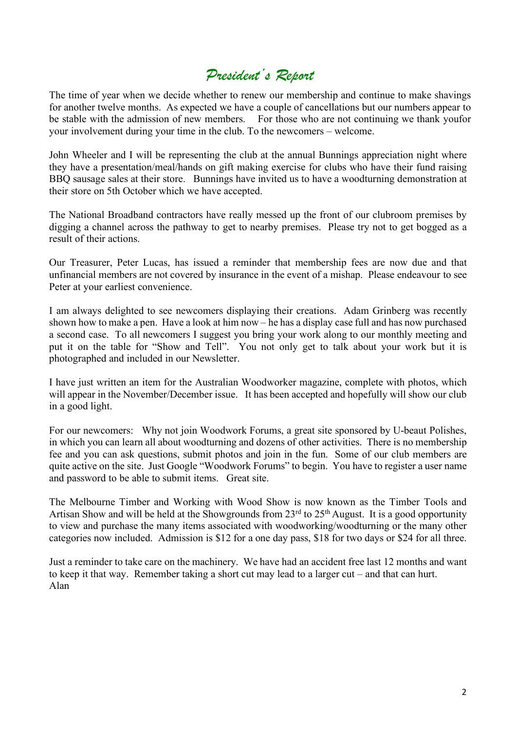## *President's Report*

The time of year when we decide whether to renew our membership and continue to make shavings for another twelve months. As expected we have a couple of cancellations but our numbers appear to be stable with the admission of new members. For those who are not continuing we thank youfor your involvement during your time in the club. To the newcomers – welcome.

John Wheeler and I will be representing the club at the annual Bunnings appreciation night where they have a presentation/meal/hands on gift making exercise for clubs who have their fund raising BBQ sausage sales at their store. Bunnings have invited us to have a woodturning demonstration at their store on 5th October which we have accepted.

The National Broadband contractors have really messed up the front of our clubroom premises by digging a channel across the pathway to get to nearby premises. Please try not to get bogged as a result of their actions.

Our Treasurer, Peter Lucas, has issued a reminder that membership fees are now due and that unfinancial members are not covered by insurance in the event of a mishap. Please endeavour to see Peter at your earliest convenience.

I am always delighted to see newcomers displaying their creations. Adam Grinberg was recently shown how to make a pen. Have a look at him now – he has a display case full and has now purchased a second case. To all newcomers I suggest you bring your work along to our monthly meeting and put it on the table for "Show and Tell". You not only get to talk about your work but it is photographed and included in our Newsletter.

I have just written an item for the Australian Woodworker magazine, complete with photos, which will appear in the November/December issue. It has been accepted and hopefully will show our club in a good light.

For our newcomers: Why not join Woodwork Forums, a great site sponsored by U-beaut Polishes, in which you can learn all about woodturning and dozens of other activities. There is no membership fee and you can ask questions, submit photos and join in the fun. Some of our club members are quite active on the site. Just Google "Woodwork Forums" to begin. You have to register a user name and password to be able to submit items. Great site.

The Melbourne Timber and Working with Wood Show is now known as the Timber Tools and Artisan Show and will be held at the Showgrounds from  $23<sup>rd</sup>$  to  $25<sup>th</sup>$  August. It is a good opportunity to view and purchase the many items associated with woodworking/woodturning or the many other categories now included. Admission is \$12 for a one day pass, \$18 for two days or \$24 for all three.

Just a reminder to take care on the machinery. We have had an accident free last 12 months and want to keep it that way. Remember taking a short cut may lead to a larger cut – and that can hurt. Alan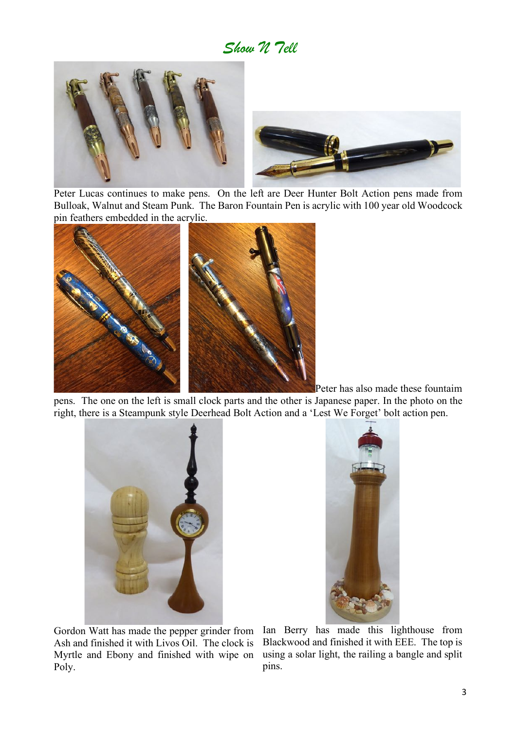*Show N Tell*



Peter Lucas continues to make pens. On the left are Deer Hunter Bolt Action pens made from Bulloak, Walnut and Steam Punk. The Baron Fountain Pen is acrylic with 100 year old Woodcock pin feathers embedded in the acrylic.



 Peter has also made these fountaim pens. The one on the left is small clock parts and the other is Japanese paper. In the photo on the right, there is a Steampunk style Deerhead Bolt Action and a 'Lest We Forget' bolt action pen.





Gordon Watt has made the pepper grinder from Ash and finished it with Livos Oil. The clock is Myrtle and Ebony and finished with wipe on Poly.

Ian Berry has made this lighthouse from Blackwood and finished it with EEE. The top is using a solar light, the railing a bangle and split pins.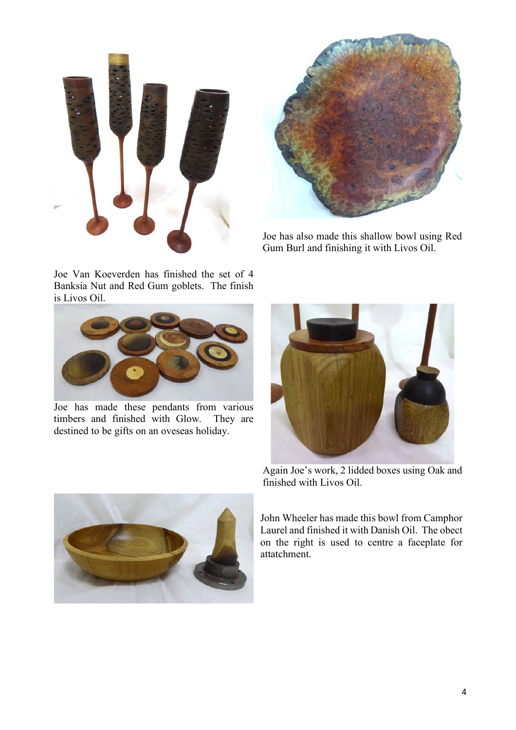



Joe has also made this shallow bowl using Red Gum Burl and finishing it with Livos Oil.

Joe Van Koeverden has finished the set of 4 Banksia Nut and Red Gum goblets. The finish is Livos Oil.



Joe has made these pendants from various timbers and finished with Glow. They are destined to be gifts on an oveseas holiday.



Again Joe's work, 2 lidded boxes using Oak and finished with Livos Oil.

Laurel and finished it with Danish Oil. The obect on the right is used to centre a faceplate for attatchment.

John Wheeler has made this bowl from Camphor